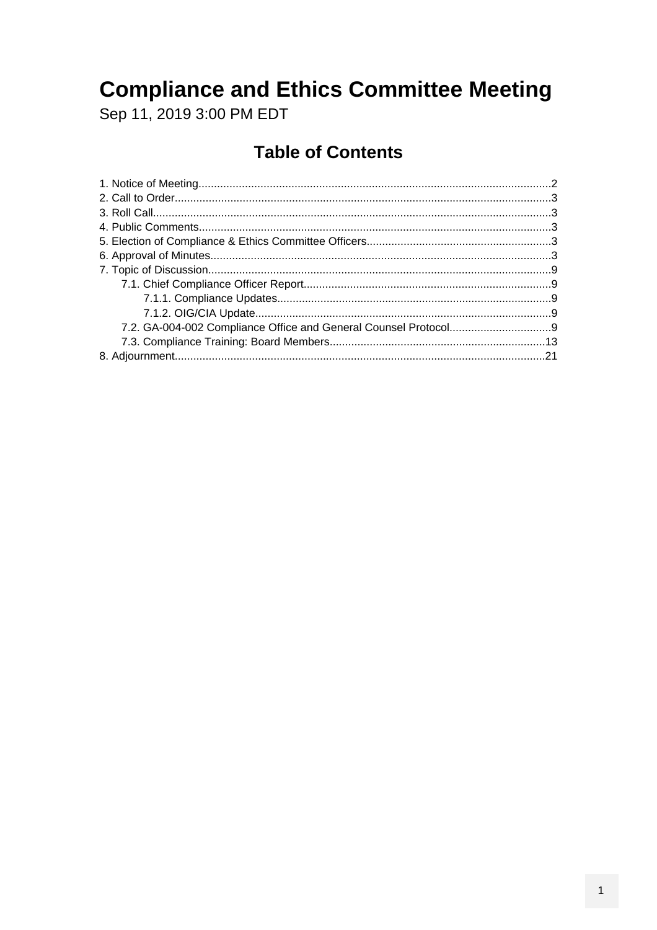## **Compliance and Ethics Committee Meeting**

Sep 11, 2019 3:00 PM EDT

## **Table of Contents**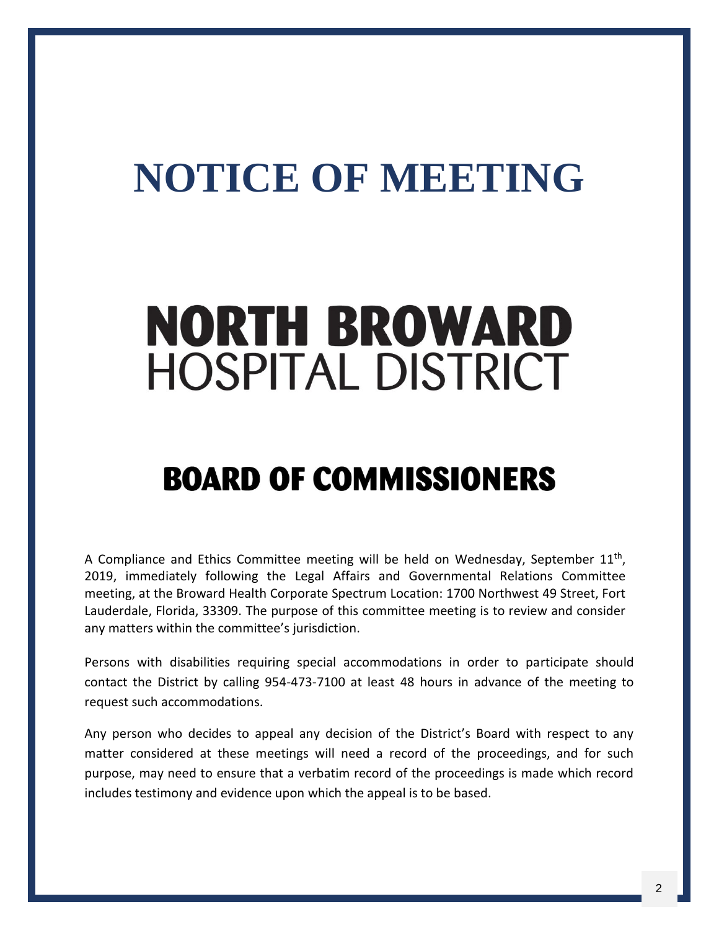# <span id="page-1-0"></span>**NOTICE OF MEETING**

# **NORTH BROWARD HOSPITAL DISTRICT**

# **BOARD OF COMMISSIONERS**

A Compliance and Ethics Committee meeting will be held on Wednesday, September  $11<sup>th</sup>$ , 2019, immediately following the Legal Affairs and Governmental Relations Committee meeting, at the Broward Health Corporate Spectrum Location: 1700 Northwest 49 Street, Fort Lauderdale, Florida, 33309. The purpose of this committee meeting is to review and consider any matters within the committee's jurisdiction.

Persons with disabilities requiring special accommodations in order to participate should contact the District by calling 954-473-7100 at least 48 hours in advance of the meeting to request such accommodations.

Any person who decides to appeal any decision of the District's Board with respect to any matter considered at these meetings will need a record of the proceedings, and for such purpose, may need to ensure that a verbatim record of the proceedings is made which record includes testimony and evidence upon which the appeal is to be based.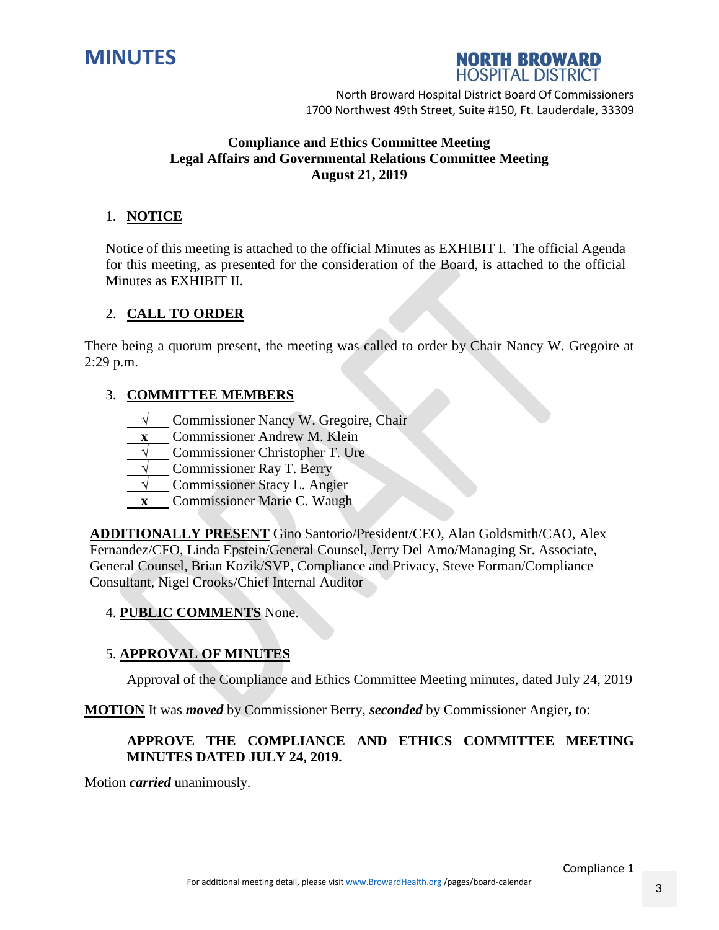<span id="page-2-0"></span>



#### **Compliance and Ethics Committee Meeting Legal Affairs and Governmental Relations Committee Meeting August 21, 2019**

#### 1. **NOTICE**

Notice of this meeting is attached to the official Minutes as EXHIBIT I. The official Agenda for this meeting, as presented for the consideration of the Board, is attached to the official Minutes as EXHIBIT II.

#### 2. **CALL TO ORDER**

There being a quorum present, the meeting was called to order by Chair Nancy W. Gregoire at 2:29 p.m.

#### 3. **COMMITTEE MEMBERS**

- **√** Commissioner Nancy W. Gregoire, Chair
- **x** Commissioner Andrew M. Klein
- **√** Commissioner Christopher T. Ure
- **√** Commissioner Ray T. Berry
- **√** Commissioner Stacy L. Angier
- **x** Commissioner Marie C. Waugh

**ADDITIONALLY PRESENT** Gino Santorio/President/CEO, Alan Goldsmith/CAO, Alex Fernandez/CFO, Linda Epstein/General Counsel, Jerry Del Amo/Managing Sr. Associate, General Counsel, Brian Kozik/SVP, Compliance and Privacy, Steve Forman/Compliance Consultant, Nigel Crooks/Chief Internal Auditor

#### 4. **PUBLIC COMMENTS** None.

#### 5. **APPROVAL OF MINUTES**

Approval of the Compliance and Ethics Committee Meeting minutes, dated July 24, 2019

**MOTION** It was *moved* by Commissioner Berry, *seconded* by Commissioner Angier**,** to:

#### **APPROVE THE COMPLIANCE AND ETHICS COMMITTEE MEETING MINUTES DATED JULY 24, 2019.**

Motion *carried* unanimously.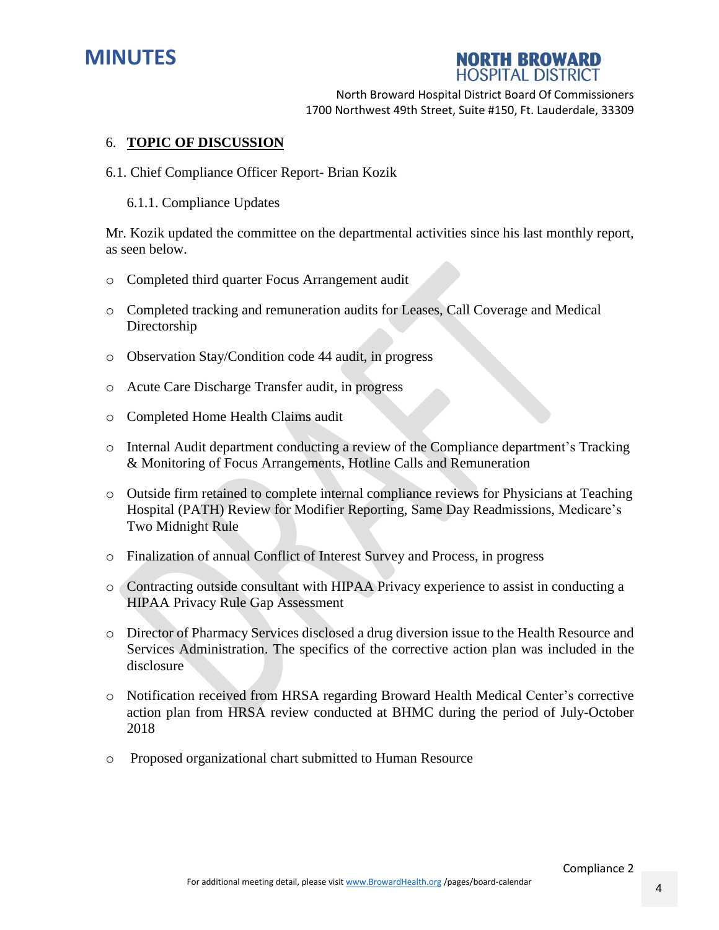



#### 6. **TOPIC OF DISCUSSION**

- 6.1. Chief Compliance Officer Report- Brian Kozik
	- 6.1.1. Compliance Updates

Mr. Kozik updated the committee on the departmental activities since his last monthly report, as seen below.

- o Completed third quarter Focus Arrangement audit
- o Completed tracking and remuneration audits for Leases, Call Coverage and Medical Directorship
- o Observation Stay/Condition code 44 audit, in progress
- o Acute Care Discharge Transfer audit, in progress
- o Completed Home Health Claims audit
- o Internal Audit department conducting a review of the Compliance department's Tracking & Monitoring of Focus Arrangements, Hotline Calls and Remuneration
- o Outside firm retained to complete internal compliance reviews for Physicians at Teaching Hospital (PATH) Review for Modifier Reporting, Same Day Readmissions, Medicare's Two Midnight Rule
- o Finalization of annual Conflict of Interest Survey and Process, in progress
- o Contracting outside consultant with HIPAA Privacy experience to assist in conducting a HIPAA Privacy Rule Gap Assessment
- o Director of Pharmacy Services disclosed a drug diversion issue to the Health Resource and Services Administration. The specifics of the corrective action plan was included in the disclosure
- o Notification received from HRSA regarding Broward Health Medical Center's corrective action plan from HRSA review conducted at BHMC during the period of July-October 2018
- o Proposed organizational chart submitted to Human Resource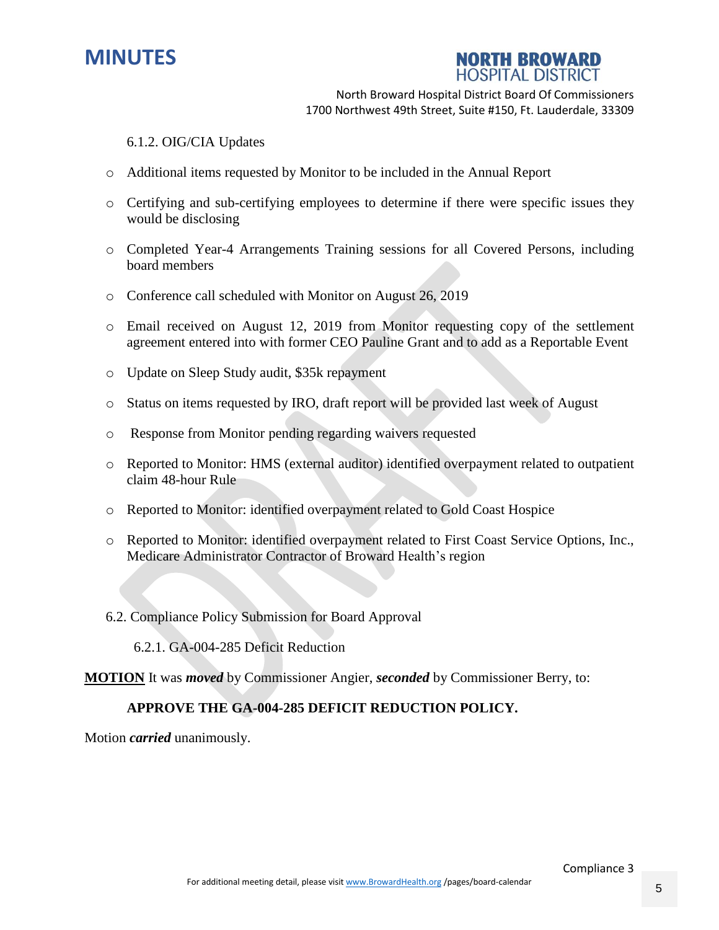



6.1.2. OIG/CIA Updates

- o Additional items requested by Monitor to be included in the Annual Report
- o Certifying and sub-certifying employees to determine if there were specific issues they would be disclosing
- o Completed Year-4 Arrangements Training sessions for all Covered Persons, including board members
- o Conference call scheduled with Monitor on August 26, 2019
- o Email received on August 12, 2019 from Monitor requesting copy of the settlement agreement entered into with former CEO Pauline Grant and to add as a Reportable Event
- o Update on Sleep Study audit, \$35k repayment
- o Status on items requested by IRO, draft report will be provided last week of August
- o Response from Monitor pending regarding waivers requested
- o Reported to Monitor: HMS (external auditor) identified overpayment related to outpatient claim 48-hour Rule
- o Reported to Monitor: identified overpayment related to Gold Coast Hospice
- o Reported to Monitor: identified overpayment related to First Coast Service Options, Inc., Medicare Administrator Contractor of Broward Health's region
- 6.2. Compliance Policy Submission for Board Approval

6.2.1. GA-004-285 Deficit Reduction

**MOTION** It was *moved* by Commissioner Angier, *seconded* by Commissioner Berry, to:

#### **APPROVE THE GA-004-285 DEFICIT REDUCTION POLICY.**

Motion *carried* unanimously.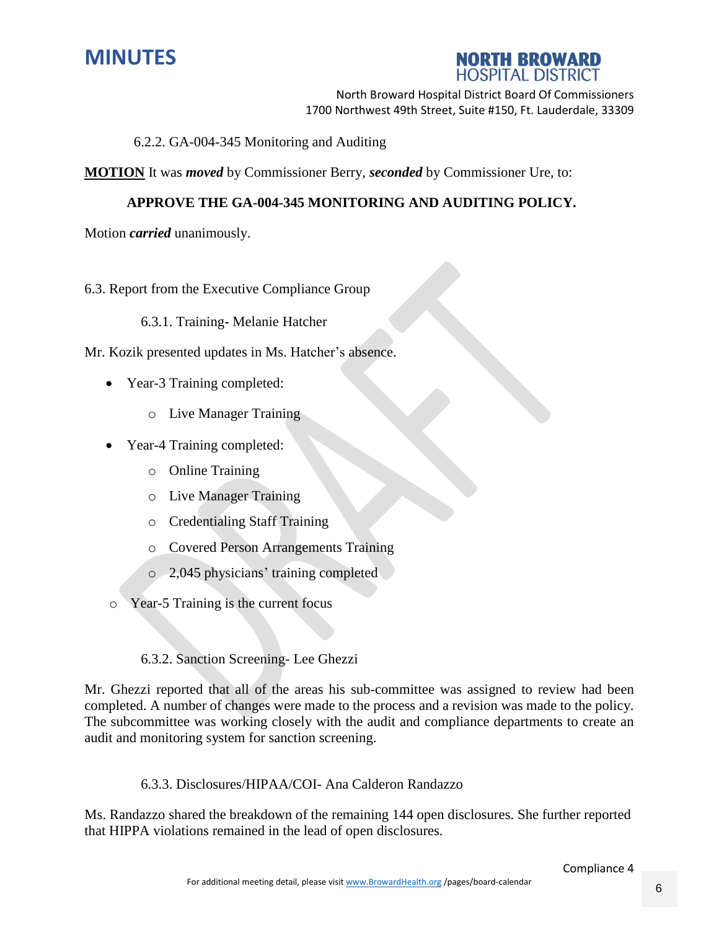



6.2.2. GA-004-345 Monitoring and Auditing

**MOTION** It was *moved* by Commissioner Berry, *seconded* by Commissioner Ure, to:

#### **APPROVE THE GA-004-345 MONITORING AND AUDITING POLICY.**

Motion *carried* unanimously.

#### 6.3. Report from the Executive Compliance Group

6.3.1. Training- Melanie Hatcher

Mr. Kozik presented updates in Ms. Hatcher's absence.

- Year-3 Training completed:
	- o Live Manager Training
- Year-4 Training completed:
	- o Online Training
	- o Live Manager Training
	- o Credentialing Staff Training
	- o Covered Person Arrangements Training
	- o 2,045 physicians' training completed
- o Year-5 Training is the current focus

#### 6.3.2. Sanction Screening- Lee Ghezzi

Mr. Ghezzi reported that all of the areas his sub-committee was assigned to review had been completed. A number of changes were made to the process and a revision was made to the policy. The subcommittee was working closely with the audit and compliance departments to create an audit and monitoring system for sanction screening.

6.3.3. Disclosures/HIPAA/COI- Ana Calderon Randazzo

Ms. Randazzo shared the breakdown of the remaining 144 open disclosures. She further reported that HIPPA violations remained in the lead of open disclosures.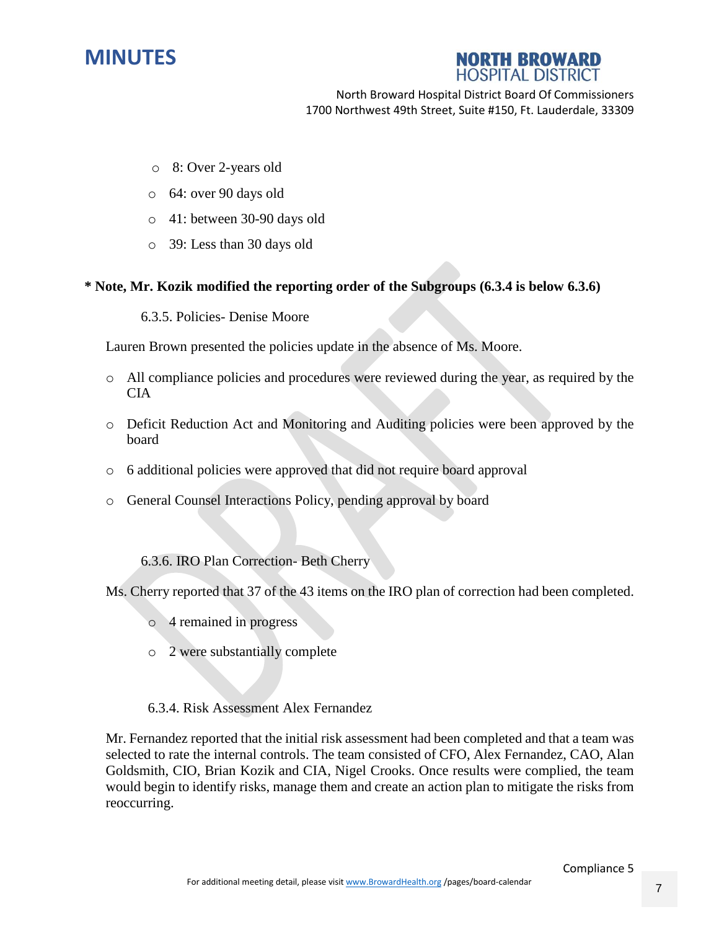

#### **NORTH BROWARD HOSPITAL DISTRICT**

North Broward Hospital District Board Of Commissioners 1700 Northwest 49th Street, Suite #150, Ft. Lauderdale, 33309

- o 8: Over 2-years old
- o 64: over 90 days old
- o 41: between 30-90 days old
- o 39: Less than 30 days old

#### **\* Note, Mr. Kozik modified the reporting order of the Subgroups (6.3.4 is below 6.3.6)**

6.3.5. Policies- Denise Moore

Lauren Brown presented the policies update in the absence of Ms. Moore.

- o All compliance policies and procedures were reviewed during the year, as required by the CIA
- o Deficit Reduction Act and Monitoring and Auditing policies were been approved by the board
- o 6 additional policies were approved that did not require board approval
- o General Counsel Interactions Policy, pending approval by board

#### 6.3.6. IRO Plan Correction- Beth Cherry

Ms. Cherry reported that 37 of the 43 items on the IRO plan of correction had been completed.

- o 4 remained in progress
- o 2 were substantially complete

#### 6.3.4. Risk Assessment Alex Fernandez

Mr. Fernandez reported that the initial risk assessment had been completed and that a team was selected to rate the internal controls. The team consisted of CFO, Alex Fernandez, CAO, Alan Goldsmith, CIO, Brian Kozik and CIA, Nigel Crooks. Once results were complied, the team would begin to identify risks, manage them and create an action plan to mitigate the risks from reoccurring.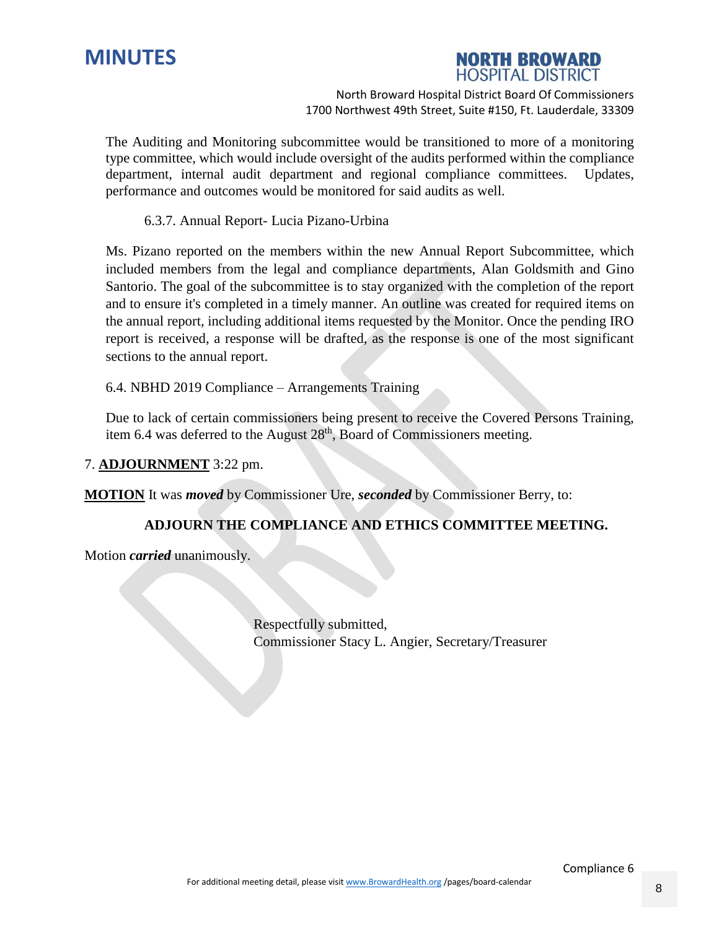



The Auditing and Monitoring subcommittee would be transitioned to more of a monitoring type committee, which would include oversight of the audits performed within the compliance department, internal audit department and regional compliance committees. Updates, performance and outcomes would be monitored for said audits as well.

6.3.7. Annual Report- Lucia Pizano-Urbina

Ms. Pizano reported on the members within the new Annual Report Subcommittee, which included members from the legal and compliance departments, Alan Goldsmith and Gino Santorio. The goal of the subcommittee is to stay organized with the completion of the report and to ensure it's completed in a timely manner. An outline was created for required items on the annual report, including additional items requested by the Monitor. Once the pending IRO report is received, a response will be drafted, as the response is one of the most significant sections to the annual report.

6.4. NBHD 2019 Compliance – Arrangements Training

Due to lack of certain commissioners being present to receive the Covered Persons Training, item 6.4 was deferred to the August 28<sup>th</sup>, Board of Commissioners meeting.

#### 7. **ADJOURNMENT** 3:22 pm.

**MOTION** It was *moved* by Commissioner Ure, *seconded* by Commissioner Berry, to:

#### **ADJOURN THE COMPLIANCE AND ETHICS COMMITTEE MEETING.**

Motion *carried* unanimously.

Respectfully submitted, Commissioner Stacy L. Angier, Secretary/Treasurer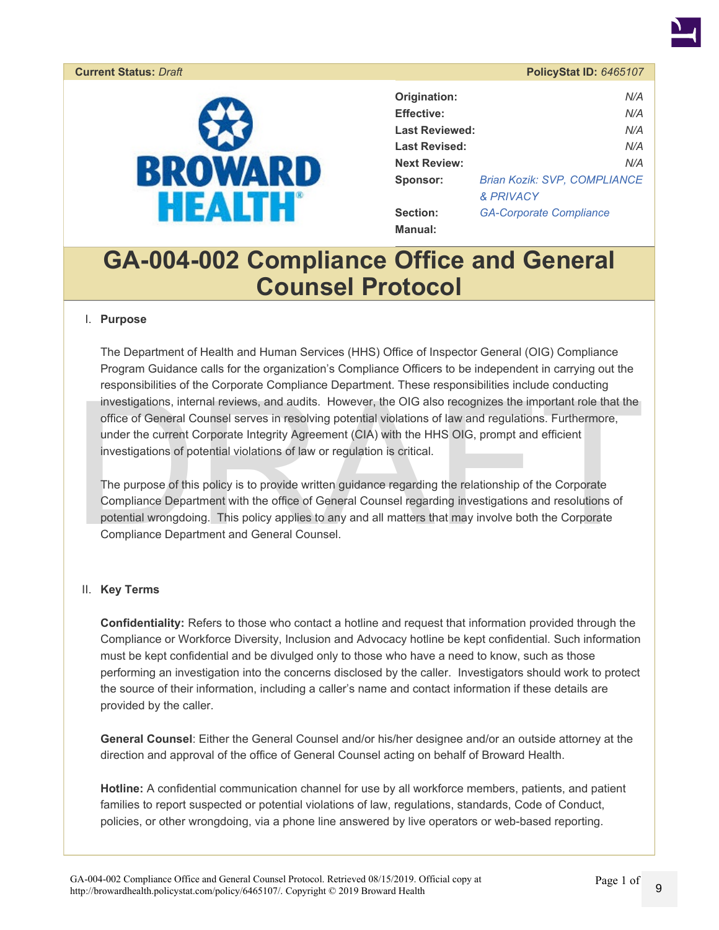<span id="page-8-0"></span>

| Origination:          | N/A                            |
|-----------------------|--------------------------------|
| <b>Effective:</b>     | N/A                            |
| <b>Last Reviewed:</b> | N/A                            |
| <b>Last Revised:</b>  | N/A                            |
| <b>Next Review:</b>   | N/A                            |
| <b>Sponsor:</b>       | Brian Kozik: SVP, COMPLIANCE   |
|                       | & PRIVACY                      |
| Section:              | <b>GA-Corporate Compliance</b> |
| <b>Manual:</b>        |                                |

## **GA-004-002 Compliance Office and General Counsel Protocol**

#### I. **Purpose**

responsibilities of the Corporate Compinance Department. These responsibilities include conducting<br>investigations, internal reviews, and audits. However, the OIG also recognizes the important role that the<br>office of Genera The Department of Health and Human Services (HHS) Office of Inspector General (OIG) Compliance Program Guidance calls for the organization's Compliance Officers to be independent in carrying out the responsibilities of the Corporate Compliance Department. These responsibilities include conducting investigations, internal reviews, and audits. However, the OIG also recognizes the important role that the office of General Counsel serves in resolving potential violations of law and regulations. Furthermore, under the current Corporate Integrity Agreement (CIA) with the HHS OIG, prompt and efficient investigations of potential violations of law or regulation is critical.

The purpose of this policy is to provide written guidance regarding the relationship of the Corporate Compliance Department with the office of General Counsel regarding investigations and resolutions of potential wrongdoing. This policy applies to any and all matters that may involve both the Corporate Compliance Department and General Counsel.

#### II. **Key Terms**

**Confidentiality:** Refers to those who contact a hotline and request that information provided through the Compliance or Workforce Diversity, Inclusion and Advocacy hotline be kept confidential. Such information must be kept confidential and be divulged only to those who have a need to know, such as those performing an investigation into the concerns disclosed by the caller. Investigators should work to protect the source of their information, including a caller's name and contact information if these details are provided by the caller.

**General Counsel**: Either the General Counsel and/or his/her designee and/or an outside attorney at the direction and approval of the office of General Counsel acting on behalf of Broward Health.

Hotline: A confidential communication channel for use by all workforce members, patients, and patient families to report suspected or potential violations of law, regulations, standards, Code of Conduct, policies, or other wrongdoing, via a phone line answered by live operators or web-based reporting.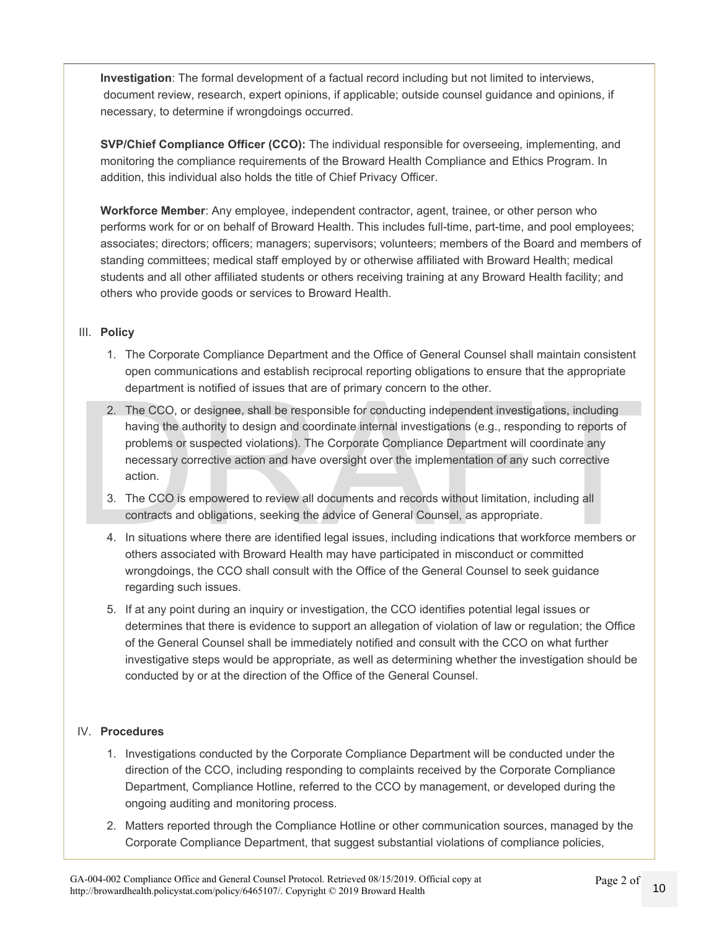**Investigation**: The formal development of a factual record including but not limited to interviews, document review, research, expert opinions, if applicable; outside counsel guidance and opinions, if necessary, to determine if wrongdoings occurred.

**SVP/Chief Compliance Officer (CCO):** The individual responsible for overseeing, implementing, and monitoring the compliance requirements of the Broward Health Compliance and Ethics Program. In addition, this individual also holds the title of Chief Privacy Officer.

**Workforce Member**: Any employee, independent contractor, agent, trainee, or other person who performs work for or on behalf of Broward Health. This includes full-time, part-time, and pool employees; associates; directors; officers; managers; supervisors; volunteers; members of the Board and members of standing committees; medical staff employed by or otherwise affiliated with Broward Health; medical students and all other affiliated students or others receiving training at any Broward Health facility; and others who provide goods or services to Broward Health.

#### III. **Policy**

- 1. The Corporate Compliance Department and the Office of General Counsel shall maintain consistent open communications and establish reciprocal reporting obligations to ensure that the appropriate department is notified of issues that are of primary concern to the other.
- department is notified of issues that are of primary concern to the other.<br>
2. The CCO, or designee, shall be responsible for conducting independent investigations, including<br>
having the authority to design and coordinate 2. The CCO, or designee, shall be responsible for conducting independent investigations, including having the authority to design and coordinate internal investigations (e.g., responding to reports of problems or suspected violations). The Corporate Compliance Department will coordinate any necessary corrective action and have oversight over the implementation of any such corrective action.
	- 3. The CCO is empowered to review all documents and records without limitation, including all contracts and obligations, seeking the advice of General Counsel, as appropriate.
	- 4. In situations where there are identified legal issues, including indications that workforce members or others associated with Broward Health may have participated in misconduct or committed wrongdoings, the CCO shall consult with the Office of the General Counsel to seek guidance regarding such issues.
	- 5. If at any point during an inquiry or investigation, the CCO identifies potential legal issues or determines that there is evidence to support an allegation of violation of law or regulation; the Office of the General Counsel shall be immediately notified and consult with the CCO on what further investigative steps would be appropriate, as well as determining whether the investigation should be conducted by or at the direction of the Office of the General Counsel.

#### IV. **Procedures**

- 1. Investigations conducted by the Corporate Compliance Department will be conducted under the direction of the CCO, including responding to complaints received by the Corporate Compliance Department, Compliance Hotline, referred to the CCO by management, or developed during the ongoing auditing and monitoring process.
- 2. Matters reported through the Compliance Hotline or other communication sources, managed by the Corporate Compliance Department, that suggest substantial violations of compliance policies,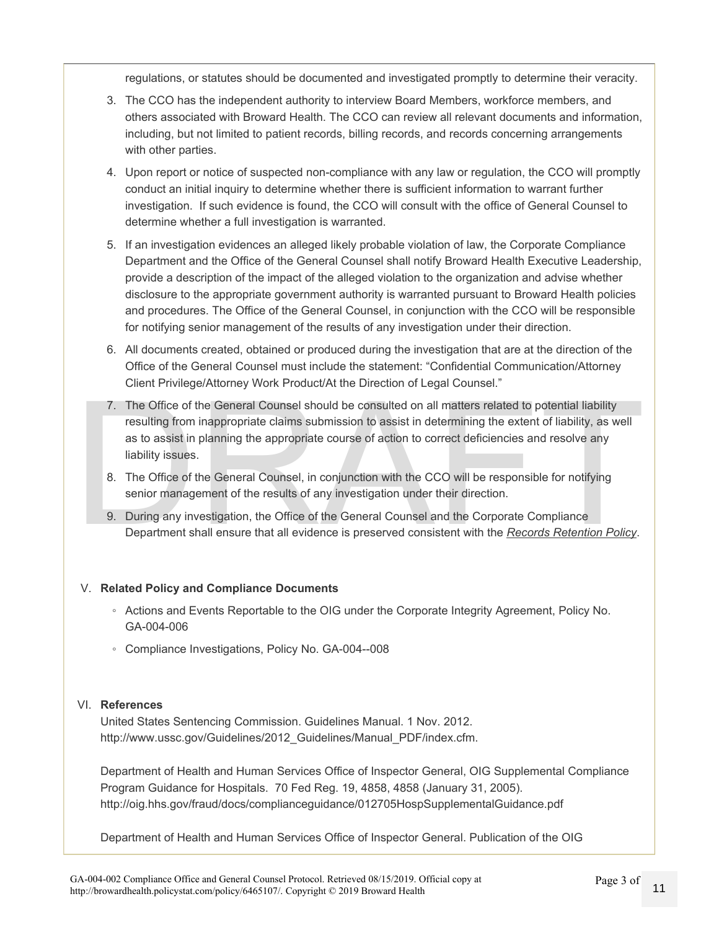regulations, or statutes should be documented and investigated promptly to determine their veracity.

- 3. The CCO has the independent authority to interview Board Members, workforce members, and others associated with Broward Health. The CCO can review all relevant documents and information, including, but not limited to patient records, billing records, and records concerning arrangements with other parties.
- 4. Upon report or notice of suspected non-compliance with any law or regulation, the CCO will promptly conduct an initial inquiry to determine whether there is sufficient information to warrant further investigation. If such evidence is found, the CCO will consult with the office of General Counsel to determine whether a full investigation is warranted.
- 5. If an investigation evidences an alleged likely probable violation of law, the Corporate Compliance Department and the Office of the General Counsel shall notify Broward Health Executive Leadership, provide a description of the impact of the alleged violation to the organization and advise whether disclosure to the appropriate government authority is warranted pursuant to Broward Health policies and procedures. The Office of the General Counsel, in conjunction with the CCO will be responsible for notifying senior management of the results of any investigation under their direction.
- 6. All documents created, obtained or produced during the investigation that are at the direction of the Office of the General Counsel must include the statement: "Confidential Communication/Attorney Client Privilege/Attorney Work Product/At the Direction of Legal Counsel."
- The Office of the General Counsel should be consulted on all matters related to potential liability<br>resulting from inappropriate claims submission to assist in determining the extent of liability, as well<br>as to assist in p 7. The Office of the General Counsel should be consulted on all matters related to potential liability resulting from inappropriate claims submission to assist in determining the extent of liability, as well as to assist in planning the appropriate course of action to correct deficiencies and resolve any liability issues.
	- 8. The Office of the General Counsel, in conjunction with the CCO will be responsible for notifying senior management of the results of any investigation under their direction.
	- 9. During any investigation, the Office of the General Counsel and the Corporate Compliance Department shall ensure that all evidence is preserved consistent with the *Records Retention Policy*.

#### V. **Related Policy and Compliance Documents**

- Actions and Events Reportable to the OIG under the Corporate Integrity Agreement, Policy No. GA-004-006
- Compliance Investigations, Policy No. GA-004--008

#### VI. **References**

United States Sentencing Commission. Guidelines Manual. 1 Nov. 2012. http://www.ussc.gov/Guidelines/2012 Guidelines/Manual PDF/index.cfm.

Department of Health and Human Services Office of Inspector General, OIG Supplemental Compliance Program Guidance for Hospitals. 70 Fed Reg. 19, 4858, 4858 (January 31, 2005). http://oig.hhs.gov/fraud/docs/complianceguidance/012705HospSupplementalGuidance.pdf

Department of Health and Human Services Office of Inspector General. Publication of the OIG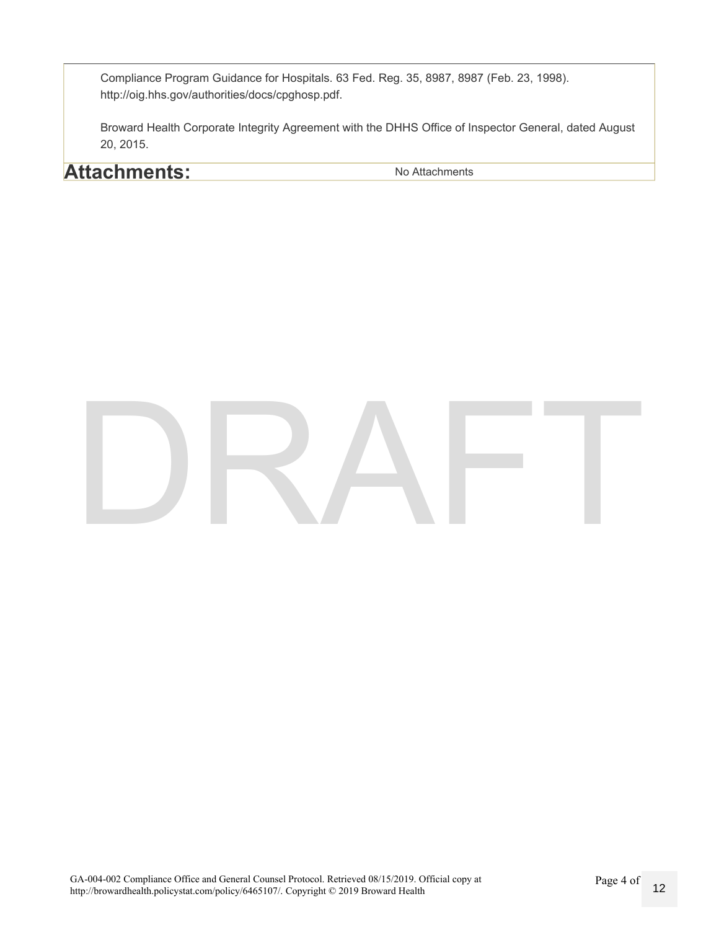Compliance Program Guidance for Hospitals. 63 Fed. Reg. 35, 8987, 8987 (Feb. 23, 1998). http://oig.hhs.gov/authorities/docs/cpghosp.pdf.

Broward Health Corporate Integrity Agreement with the DHHS Office of Inspector General, dated August 20, 2015.

### **Attachments:** No Attachments

# DRAFT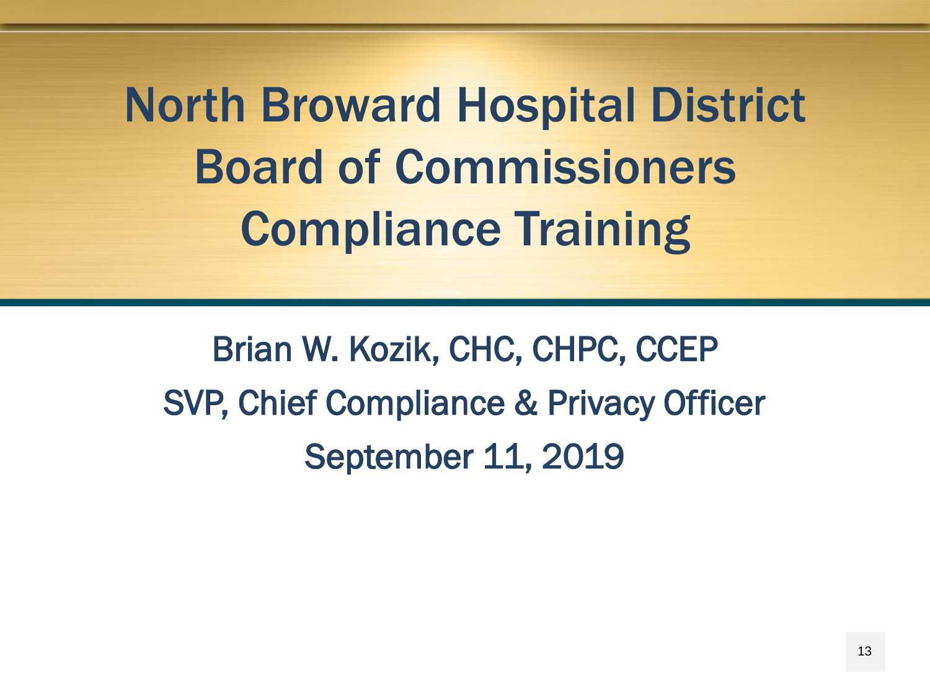North Broward Hospital District Board of Commissioners Compliance Training

<span id="page-12-0"></span>Brian W. Kozik, CHC, CHPC, CCEP SVP, Chief Compliance & Privacy Officer September 11, 2019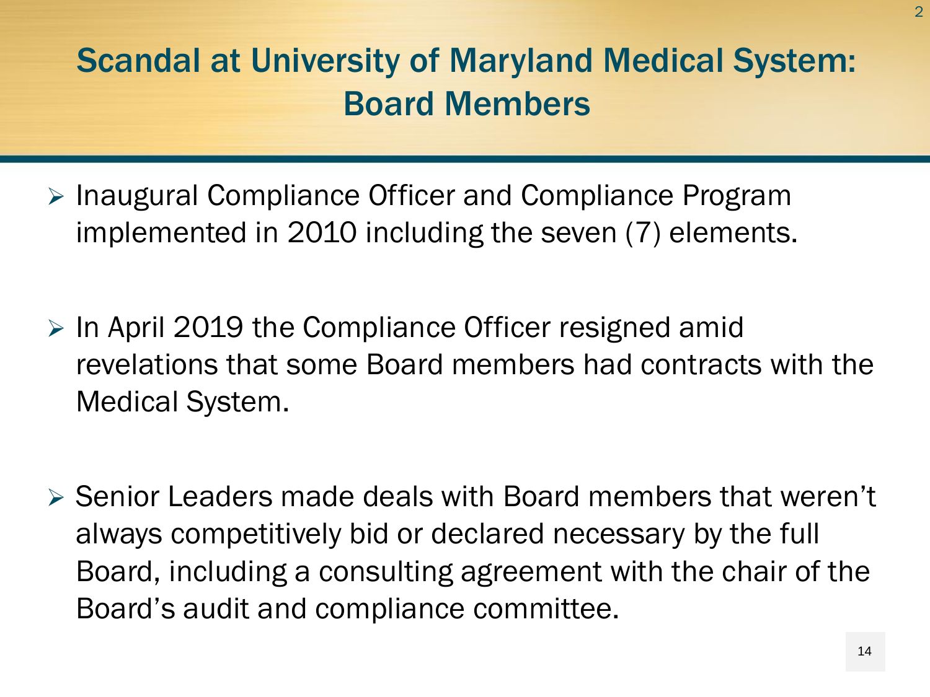- > Inaugural Compliance Officer and Compliance Program implemented in 2010 including the seven (7) elements.
- $\triangleright$  In April 2019 the Compliance Officer resigned amid revelations that some Board members had contracts with the Medical System.
- $\triangleright$  Senior Leaders made deals with Board members that weren't always competitively bid or declared necessary by the full Board, including a consulting agreement with the chair of the Board's audit and compliance committee.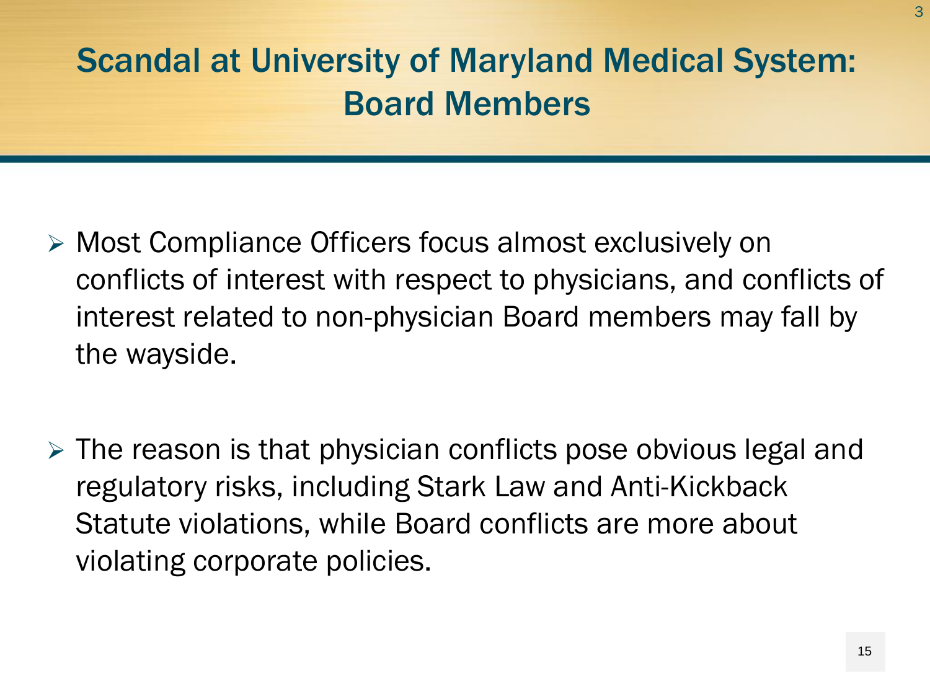- Most Compliance Officers focus almost exclusively on conflicts of interest with respect to physicians, and conflicts of interest related to non-physician Board members may fall by the wayside.
- $\triangleright$  The reason is that physician conflicts pose obvious legal and regulatory risks, including Stark Law and Anti-Kickback Statute violations, while Board conflicts are more about violating corporate policies.

3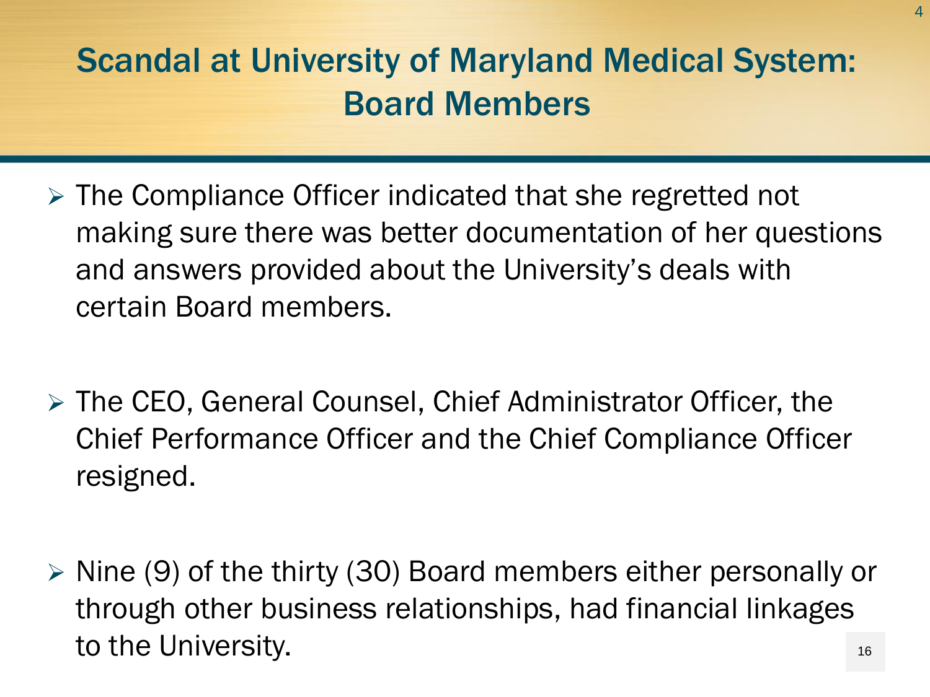- $\triangleright$  The Compliance Officer indicated that she regretted not making sure there was better documentation of her questions and answers provided about the University's deals with certain Board members.
- The CEO, General Counsel, Chief Administrator Officer, the Chief Performance Officer and the Chief Compliance Officer resigned.
- $\triangleright$  Nine (9) of the thirty (30) Board members either personally or through other business relationships, had financial linkages to the University. 16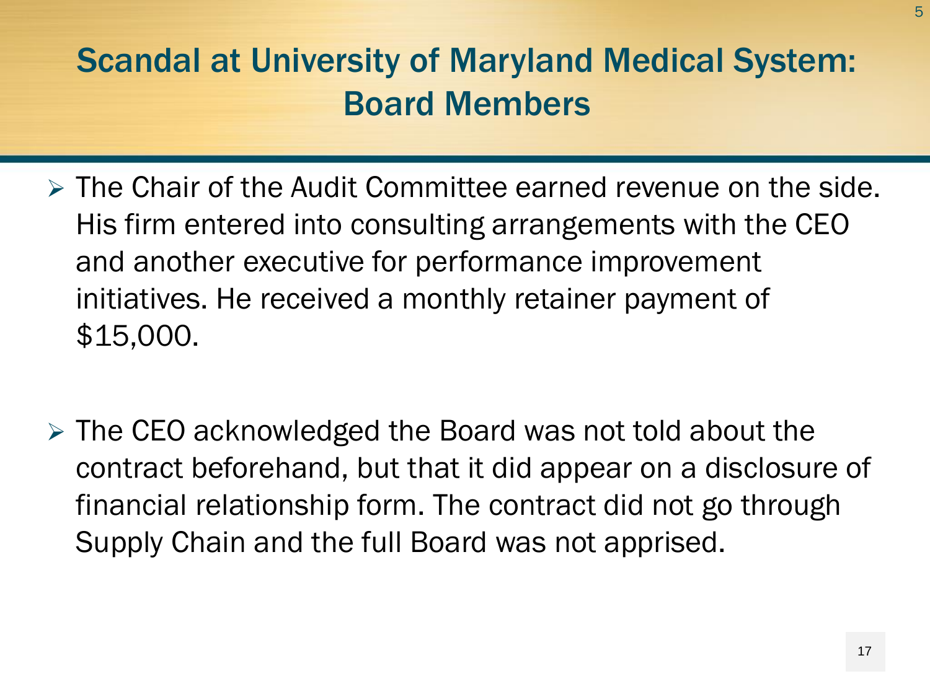- The Chair of the Audit Committee earned revenue on the side. His firm entered into consulting arrangements with the CEO and another executive for performance improvement initiatives. He received a monthly retainer payment of \$15,000.
- $\triangleright$  The CEO acknowledged the Board was not told about the contract beforehand, but that it did appear on a disclosure of financial relationship form. The contract did not go through Supply Chain and the full Board was not apprised.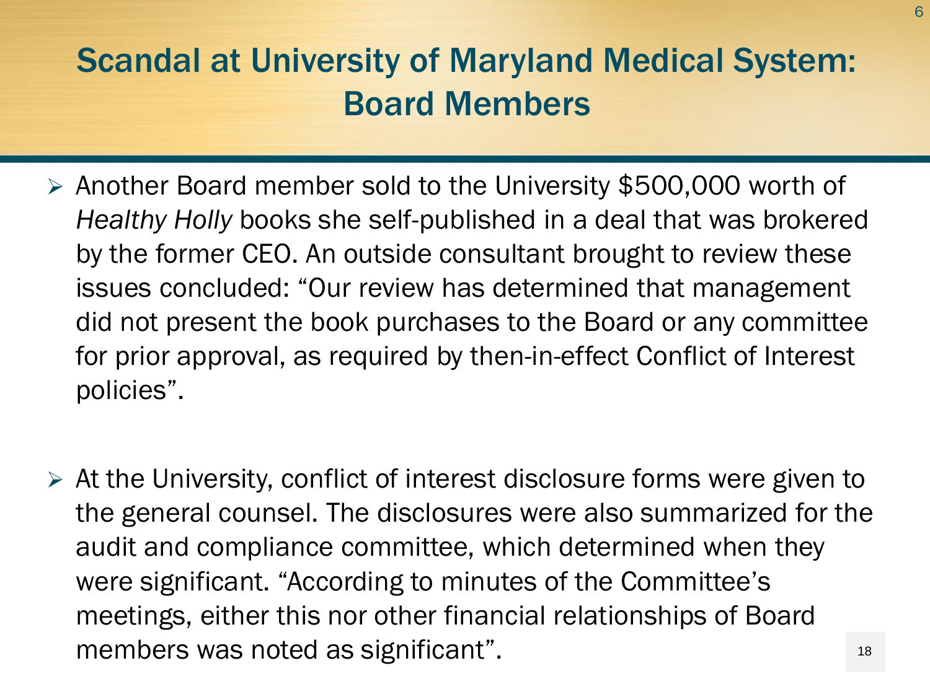- Another Board member sold to the University \$500,000 worth of *Healthy Holly* books she self-published in a deal that was brokered by the former CEO. An outside consultant brought to review these issues concluded: "Our review has determined that management did not present the book purchases to the Board or any committee for prior approval, as required by then-in-effect Conflict of Interest policies".
- $\triangleright$  At the University, conflict of interest disclosure forms were given to the general counsel. The disclosures were also summarized for the audit and compliance committee, which determined when they were significant. "According to minutes of the Committee's meetings, either this nor other financial relationships of Board members was noted as significant". 18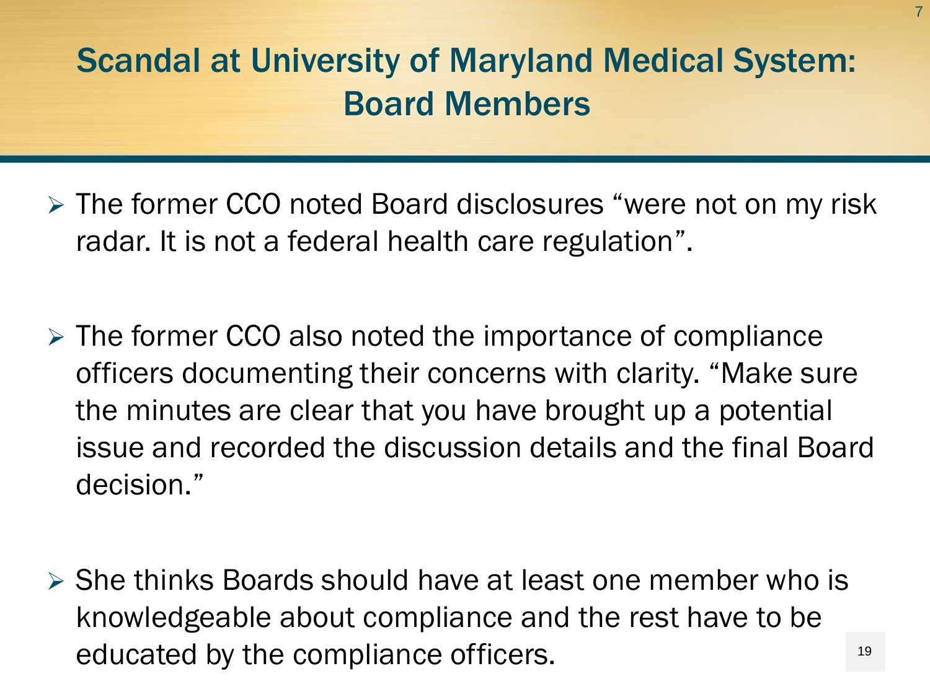- The former CCO noted Board disclosures "were not on my risk radar. It is not a federal health care regulation".
- $\triangleright$  The former CCO also noted the importance of compliance officers documenting their concerns with clarity. "Make sure the minutes are clear that you have brought up a potential issue and recorded the discussion details and the final Board decision."
- $\triangleright$  She thinks Boards should have at least one member who is knowledgeable about compliance and the rest have to be educated by the compliance officers.

19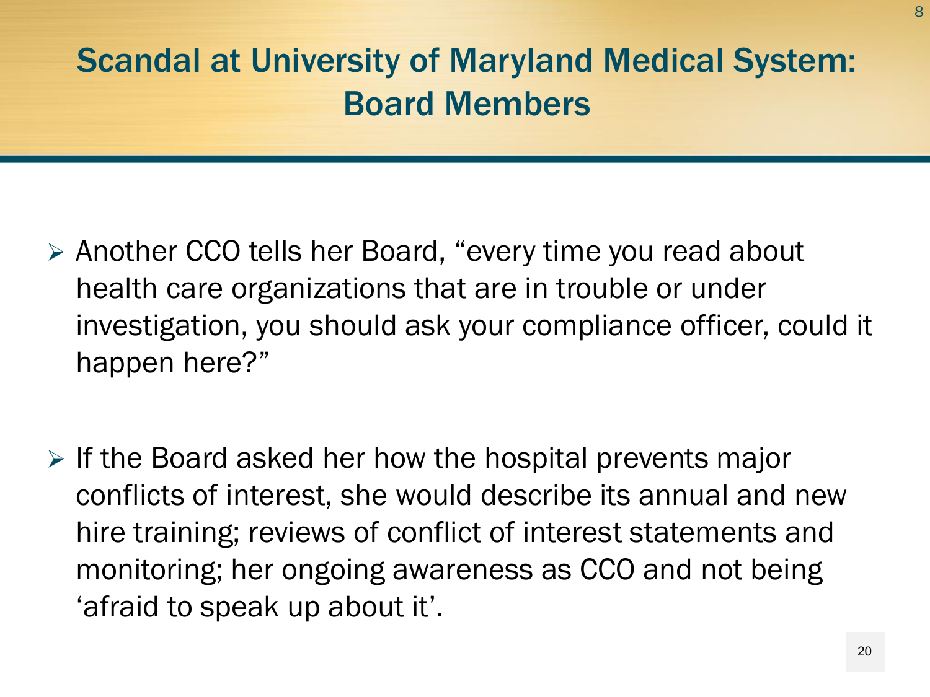- Another CCO tells her Board, "every time you read about health care organizations that are in trouble or under investigation, you should ask your compliance officer, could it happen here?"
- $\triangleright$  If the Board asked her how the hospital prevents major conflicts of interest, she would describe its annual and new hire training; reviews of conflict of interest statements and monitoring; her ongoing awareness as CCO and not being 'afraid to speak up about it'.